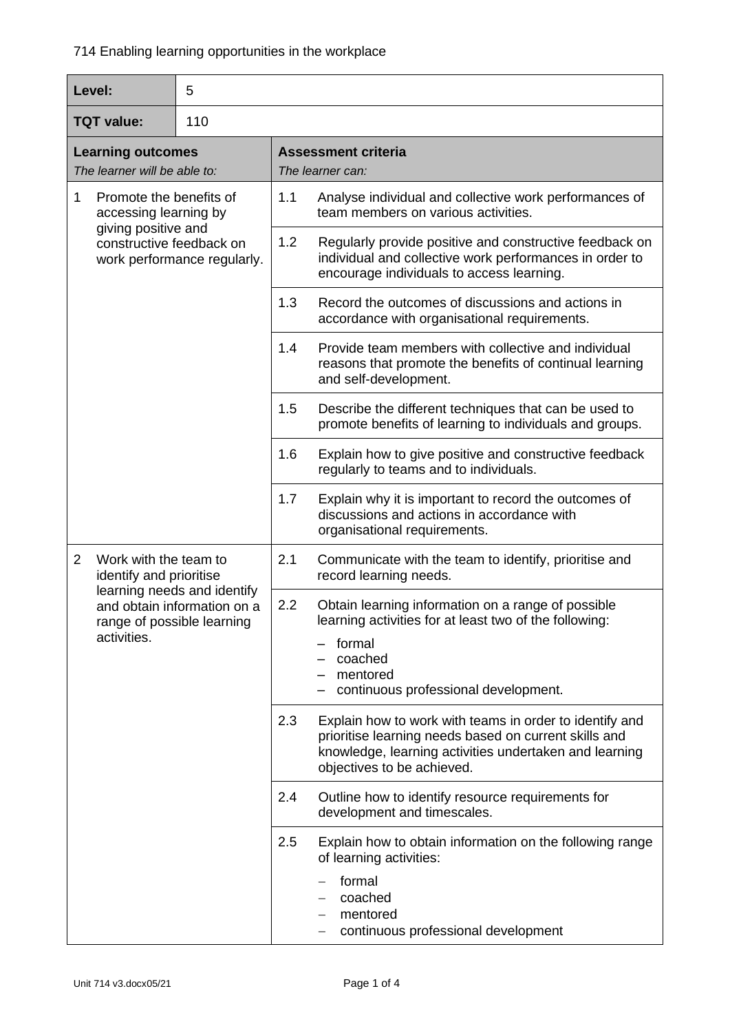| Level:                                                                                                                                            | 5 |     |                                                                                                                                                                                                          |
|---------------------------------------------------------------------------------------------------------------------------------------------------|---|-----|----------------------------------------------------------------------------------------------------------------------------------------------------------------------------------------------------------|
| <b>TQT</b> value:<br>110                                                                                                                          |   |     |                                                                                                                                                                                                          |
| <b>Learning outcomes</b><br>The learner will be able to:                                                                                          |   |     | <b>Assessment criteria</b><br>The learner can:                                                                                                                                                           |
| Promote the benefits of<br>$\mathbf 1$<br>accessing learning by<br>giving positive and<br>constructive feedback on<br>work performance regularly. |   | 1.1 | Analyse individual and collective work performances of<br>team members on various activities.                                                                                                            |
|                                                                                                                                                   |   | 1.2 | Regularly provide positive and constructive feedback on<br>individual and collective work performances in order to<br>encourage individuals to access learning.                                          |
|                                                                                                                                                   |   | 1.3 | Record the outcomes of discussions and actions in<br>accordance with organisational requirements.                                                                                                        |
|                                                                                                                                                   |   | 1.4 | Provide team members with collective and individual<br>reasons that promote the benefits of continual learning<br>and self-development.                                                                  |
|                                                                                                                                                   |   | 1.5 | Describe the different techniques that can be used to<br>promote benefits of learning to individuals and groups.                                                                                         |
|                                                                                                                                                   |   | 1.6 | Explain how to give positive and constructive feedback<br>regularly to teams and to individuals.                                                                                                         |
|                                                                                                                                                   |   | 1.7 | Explain why it is important to record the outcomes of<br>discussions and actions in accordance with<br>organisational requirements.                                                                      |
| Work with the team to<br>$\overline{2}$<br>identify and prioritise                                                                                |   | 2.1 | Communicate with the team to identify, prioritise and<br>record learning needs.                                                                                                                          |
| learning needs and identify<br>and obtain information on a<br>range of possible learning<br>activities.                                           |   | 2.2 | Obtain learning information on a range of possible<br>learning activities for at least two of the following:<br>formal<br>coached<br>mentored<br>continuous professional development.                    |
|                                                                                                                                                   |   | 2.3 | Explain how to work with teams in order to identify and<br>prioritise learning needs based on current skills and<br>knowledge, learning activities undertaken and learning<br>objectives to be achieved. |
|                                                                                                                                                   |   | 2.4 | Outline how to identify resource requirements for<br>development and timescales.                                                                                                                         |
|                                                                                                                                                   |   | 2.5 | Explain how to obtain information on the following range<br>of learning activities:<br>formal<br>coached<br>mentored<br>continuous professional development<br>$\qquad \qquad -$                         |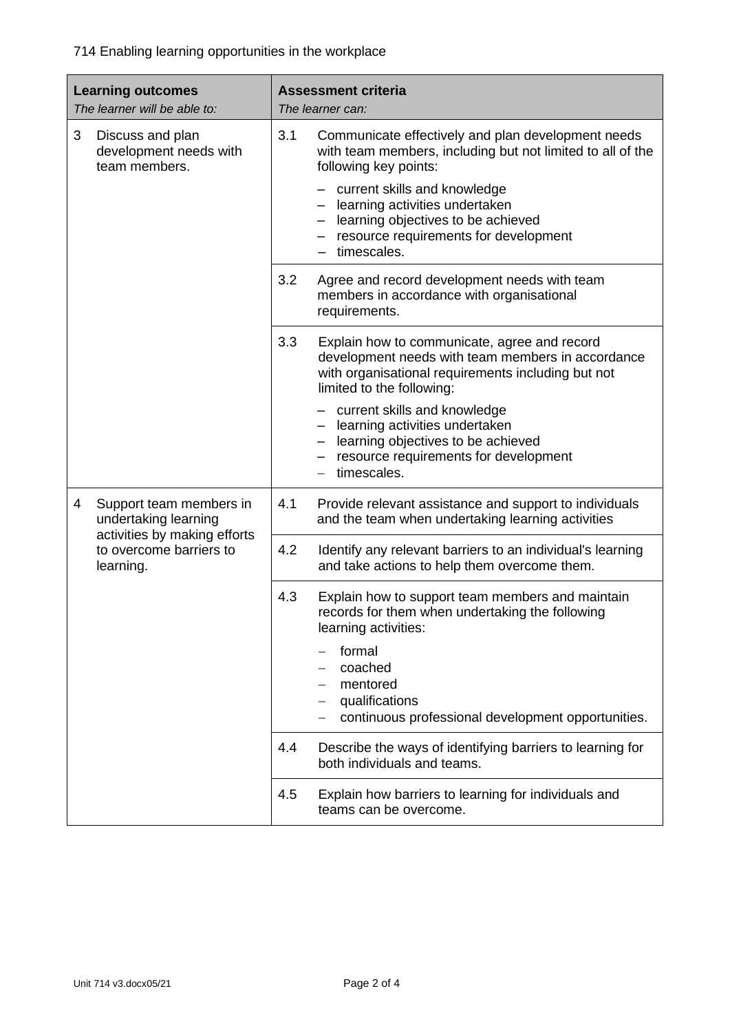714 Enabling learning opportunities in the workplace

| <b>Learning outcomes</b><br>The learner will be able to: |                                                                      | <b>Assessment criteria</b><br>The learner can: |                                                                                                                                                                                       |
|----------------------------------------------------------|----------------------------------------------------------------------|------------------------------------------------|---------------------------------------------------------------------------------------------------------------------------------------------------------------------------------------|
| 3<br>Discuss and plan<br>team members.                   | development needs with                                               | 3.1                                            | Communicate effectively and plan development needs<br>with team members, including but not limited to all of the<br>following key points:                                             |
|                                                          |                                                                      |                                                | - current skills and knowledge<br>learning activities undertaken<br>learning objectives to be achieved<br>$\qquad \qquad -$<br>resource requirements for development<br>timescales.   |
|                                                          |                                                                      | 3.2                                            | Agree and record development needs with team<br>members in accordance with organisational<br>requirements.                                                                            |
|                                                          |                                                                      | 3.3                                            | Explain how to communicate, agree and record<br>development needs with team members in accordance<br>with organisational requirements including but not<br>limited to the following:  |
|                                                          |                                                                      |                                                | - current skills and knowledge<br>- learning activities undertaken<br>learning objectives to be achieved<br>$\qquad \qquad -$<br>resource requirements for development<br>timescales. |
| 4                                                        | Support team members in<br>undertaking learning                      | 4.1                                            | Provide relevant assistance and support to individuals<br>and the team when undertaking learning activities                                                                           |
|                                                          | activities by making efforts<br>to overcome barriers to<br>learning. | 4.2                                            | Identify any relevant barriers to an individual's learning<br>and take actions to help them overcome them.                                                                            |
|                                                          |                                                                      | 4.3                                            | Explain how to support team members and maintain<br>records for them when undertaking the following<br>learning activities:                                                           |
|                                                          |                                                                      |                                                | formal<br>coached<br>mentored<br>qualifications<br>continuous professional development opportunities.                                                                                 |
|                                                          |                                                                      | 4.4                                            | Describe the ways of identifying barriers to learning for<br>both individuals and teams.                                                                                              |
|                                                          |                                                                      | 4.5                                            | Explain how barriers to learning for individuals and<br>teams can be overcome.                                                                                                        |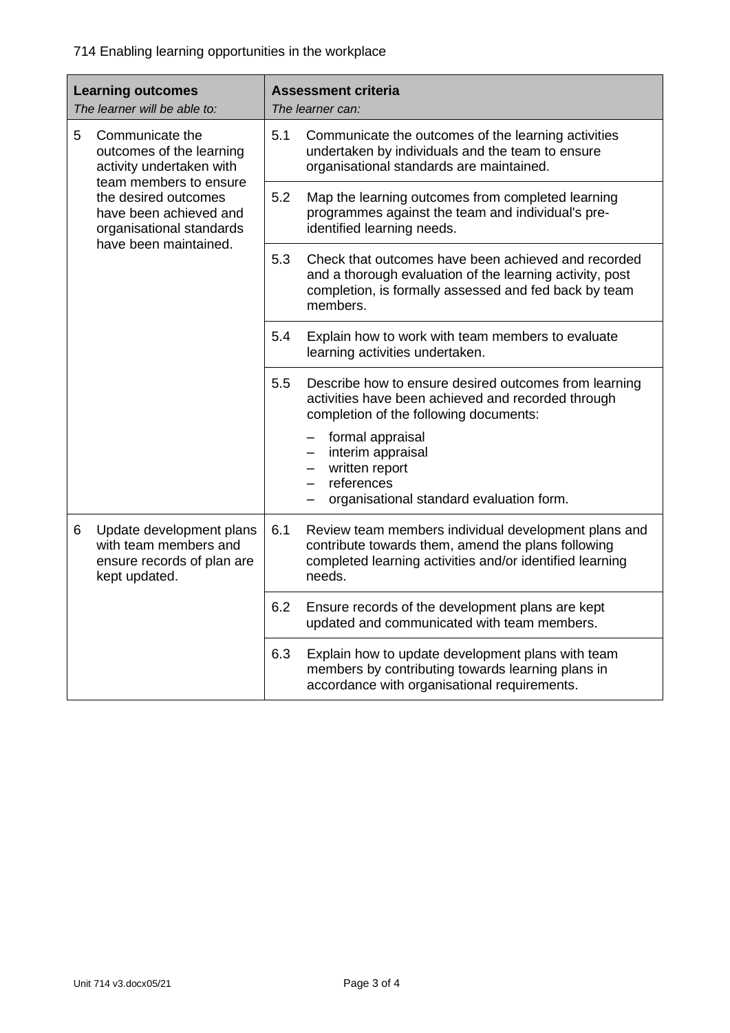| <b>Learning outcomes</b><br>The learner will be able to:                                                                                                                                                      |                                                                                                  | <b>Assessment criteria</b><br>The learner can: |                                                                                                                                                                                      |  |
|---------------------------------------------------------------------------------------------------------------------------------------------------------------------------------------------------------------|--------------------------------------------------------------------------------------------------|------------------------------------------------|--------------------------------------------------------------------------------------------------------------------------------------------------------------------------------------|--|
| 5<br>Communicate the<br>outcomes of the learning<br>activity undertaken with<br>team members to ensure<br>the desired outcomes<br>have been achieved and<br>organisational standards<br>have been maintained. |                                                                                                  | 5.1                                            | Communicate the outcomes of the learning activities<br>undertaken by individuals and the team to ensure<br>organisational standards are maintained.                                  |  |
|                                                                                                                                                                                                               |                                                                                                  | 5.2                                            | Map the learning outcomes from completed learning<br>programmes against the team and individual's pre-<br>identified learning needs.                                                 |  |
|                                                                                                                                                                                                               |                                                                                                  | 5.3                                            | Check that outcomes have been achieved and recorded<br>and a thorough evaluation of the learning activity, post<br>completion, is formally assessed and fed back by team<br>members. |  |
|                                                                                                                                                                                                               |                                                                                                  | 5.4                                            | Explain how to work with team members to evaluate<br>learning activities undertaken.                                                                                                 |  |
|                                                                                                                                                                                                               |                                                                                                  | 5.5                                            | Describe how to ensure desired outcomes from learning<br>activities have been achieved and recorded through<br>completion of the following documents:                                |  |
|                                                                                                                                                                                                               |                                                                                                  |                                                | formal appraisal<br>interim appraisal<br>written report<br>references<br>organisational standard evaluation form.                                                                    |  |
| 6                                                                                                                                                                                                             | Update development plans<br>with team members and<br>ensure records of plan are<br>kept updated. | 6.1                                            | Review team members individual development plans and<br>contribute towards them, amend the plans following<br>completed learning activities and/or identified learning<br>needs.     |  |
|                                                                                                                                                                                                               |                                                                                                  | 6.2                                            | Ensure records of the development plans are kept<br>updated and communicated with team members.                                                                                      |  |
|                                                                                                                                                                                                               |                                                                                                  | 6.3                                            | Explain how to update development plans with team<br>members by contributing towards learning plans in<br>accordance with organisational requirements.                               |  |